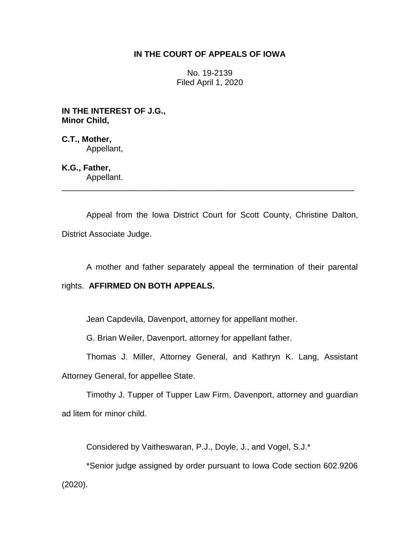# **IN THE COURT OF APPEALS OF IOWA**

No. 19-2139 Filed April 1, 2020

**IN THE INTEREST OF J.G., Minor Child,**

**C.T., Mother,** Appellant,

**K.G., Father,** Appellant.

Appeal from the Iowa District Court for Scott County, Christine Dalton, District Associate Judge.

\_\_\_\_\_\_\_\_\_\_\_\_\_\_\_\_\_\_\_\_\_\_\_\_\_\_\_\_\_\_\_\_\_\_\_\_\_\_\_\_\_\_\_\_\_\_\_\_\_\_\_\_\_\_\_\_\_\_\_\_\_\_\_\_

A mother and father separately appeal the termination of their parental

## rights. **AFFIRMED ON BOTH APPEALS.**

Jean Capdevila, Davenport, attorney for appellant mother.

G. Brian Weiler, Davenport, attorney for appellant father.

Thomas J. Miller, Attorney General, and Kathryn K. Lang, Assistant

Attorney General, for appellee State.

Timothy J. Tupper of Tupper Law Firm, Davenport, attorney and guardian ad litem for minor child.

Considered by Vaitheswaran, P.J., Doyle, J., and Vogel, S.J.\*

\*Senior judge assigned by order pursuant to Iowa Code section 602.9206 (2020).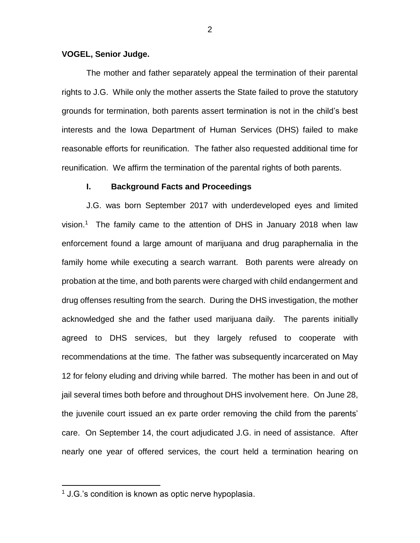#### **VOGEL, Senior Judge.**

The mother and father separately appeal the termination of their parental rights to J.G. While only the mother asserts the State failed to prove the statutory grounds for termination, both parents assert termination is not in the child's best interests and the Iowa Department of Human Services (DHS) failed to make reasonable efforts for reunification. The father also requested additional time for reunification. We affirm the termination of the parental rights of both parents.

#### **I. Background Facts and Proceedings**

J.G. was born September 2017 with underdeveloped eyes and limited vision. 1 The family came to the attention of DHS in January 2018 when law enforcement found a large amount of marijuana and drug paraphernalia in the family home while executing a search warrant. Both parents were already on probation at the time, and both parents were charged with child endangerment and drug offenses resulting from the search. During the DHS investigation, the mother acknowledged she and the father used marijuana daily. The parents initially agreed to DHS services, but they largely refused to cooperate with recommendations at the time. The father was subsequently incarcerated on May 12 for felony eluding and driving while barred. The mother has been in and out of jail several times both before and throughout DHS involvement here. On June 28, the juvenile court issued an ex parte order removing the child from the parents' care. On September 14, the court adjudicated J.G. in need of assistance. After nearly one year of offered services, the court held a termination hearing on

 $\overline{a}$ 

<sup>&</sup>lt;sup>1</sup> J.G.'s condition is known as optic nerve hypoplasia.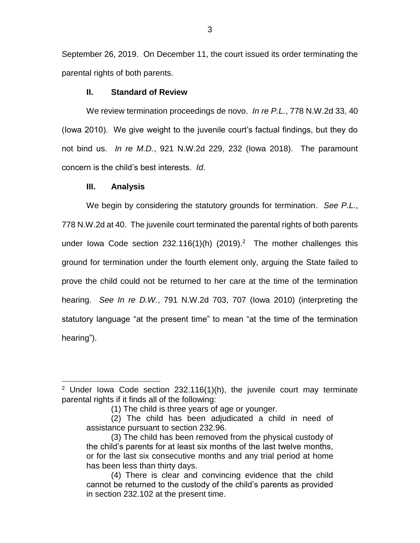September 26, 2019. On December 11, the court issued its order terminating the parental rights of both parents.

## **II. Standard of Review**

We review termination proceedings de novo. *In re P.L.*, 778 N.W.2d 33, 40 (Iowa 2010). We give weight to the juvenile court's factual findings, but they do not bind us. *In re M.D.*, 921 N.W.2d 229, 232 (Iowa 2018). The paramount concern is the child's best interests. *Id*.

## **III. Analysis**

 $\overline{a}$ 

We begin by considering the statutory grounds for termination. *See P.L.*, 778 N.W.2d at 40.The juvenile court terminated the parental rights of both parents under lowa Code section  $232.116(1)$ (h)  $(2019).<sup>2</sup>$  The mother challenges this ground for termination under the fourth element only, arguing the State failed to prove the child could not be returned to her care at the time of the termination hearing. *See In re D.W.*, 791 N.W.2d 703, 707 (Iowa 2010) (interpreting the statutory language "at the present time" to mean "at the time of the termination hearing").

<sup>&</sup>lt;sup>2</sup> Under Iowa Code section 232.116(1)(h), the juvenile court may terminate parental rights if it finds all of the following:

<sup>(1)</sup> The child is three years of age or younger.

<sup>(2)</sup> The child has been adjudicated a child in need of assistance pursuant to section 232.96.

<sup>(3)</sup> The child has been removed from the physical custody of the child's parents for at least six months of the last twelve months, or for the last six consecutive months and any trial period at home has been less than thirty days.

<sup>(4)</sup> There is clear and convincing evidence that the child cannot be returned to the custody of the child's parents as provided in section 232.102 at the present time.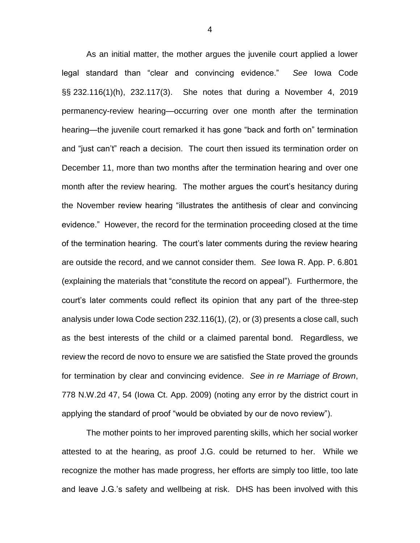As an initial matter, the mother argues the juvenile court applied a lower legal standard than "clear and convincing evidence." *See* Iowa Code §§ 232.116(1)(h), 232.117(3). She notes that during a November 4, 2019 permanency-review hearing—occurring over one month after the termination hearing—the juvenile court remarked it has gone "back and forth on" termination and "just can't" reach a decision. The court then issued its termination order on December 11, more than two months after the termination hearing and over one month after the review hearing. The mother argues the court's hesitancy during the November review hearing "illustrates the antithesis of clear and convincing evidence." However, the record for the termination proceeding closed at the time of the termination hearing. The court's later comments during the review hearing are outside the record, and we cannot consider them. *See* Iowa R. App. P. 6.801 (explaining the materials that "constitute the record on appeal"). Furthermore, the court's later comments could reflect its opinion that any part of the three-step analysis under Iowa Code section 232.116(1), (2), or (3) presents a close call, such as the best interests of the child or a claimed parental bond. Regardless, we review the record de novo to ensure we are satisfied the State proved the grounds for termination by clear and convincing evidence. *See in re Marriage of Brown*, 778 N.W.2d 47, 54 (Iowa Ct. App. 2009) (noting any error by the district court in applying the standard of proof "would be obviated by our de novo review").

The mother points to her improved parenting skills, which her social worker attested to at the hearing, as proof J.G. could be returned to her. While we recognize the mother has made progress, her efforts are simply too little, too late and leave J.G.'s safety and wellbeing at risk. DHS has been involved with this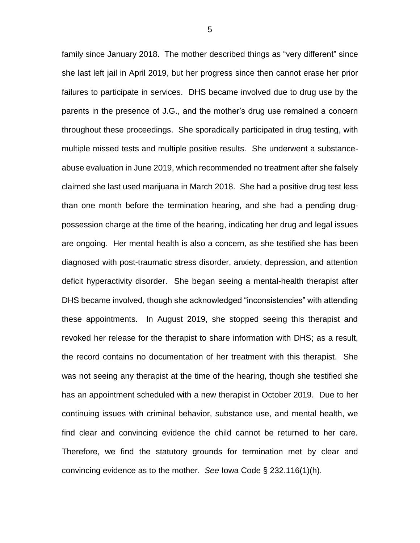family since January 2018. The mother described things as "very different" since she last left jail in April 2019, but her progress since then cannot erase her prior failures to participate in services. DHS became involved due to drug use by the parents in the presence of J.G., and the mother's drug use remained a concern throughout these proceedings. She sporadically participated in drug testing, with multiple missed tests and multiple positive results. She underwent a substanceabuse evaluation in June 2019, which recommended no treatment after she falsely claimed she last used marijuana in March 2018. She had a positive drug test less than one month before the termination hearing, and she had a pending drugpossession charge at the time of the hearing, indicating her drug and legal issues are ongoing. Her mental health is also a concern, as she testified she has been diagnosed with post-traumatic stress disorder, anxiety, depression, and attention deficit hyperactivity disorder. She began seeing a mental-health therapist after DHS became involved, though she acknowledged "inconsistencies" with attending these appointments. In August 2019, she stopped seeing this therapist and revoked her release for the therapist to share information with DHS; as a result, the record contains no documentation of her treatment with this therapist. She was not seeing any therapist at the time of the hearing, though she testified she has an appointment scheduled with a new therapist in October 2019. Due to her continuing issues with criminal behavior, substance use, and mental health, we find clear and convincing evidence the child cannot be returned to her care. Therefore, we find the statutory grounds for termination met by clear and convincing evidence as to the mother. *See* Iowa Code § 232.116(1)(h).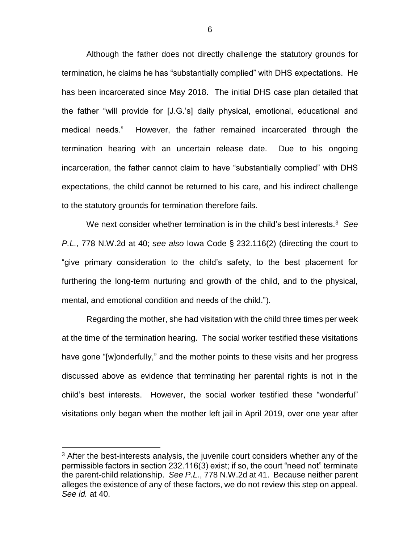Although the father does not directly challenge the statutory grounds for termination, he claims he has "substantially complied" with DHS expectations. He has been incarcerated since May 2018. The initial DHS case plan detailed that the father "will provide for [J.G.'s] daily physical, emotional, educational and medical needs." However, the father remained incarcerated through the termination hearing with an uncertain release date. Due to his ongoing incarceration, the father cannot claim to have "substantially complied" with DHS expectations, the child cannot be returned to his care, and his indirect challenge to the statutory grounds for termination therefore fails.

We next consider whether termination is in the child's best interests.<sup>3</sup> *See P.L.*, 778 N.W.2d at 40; *see also* Iowa Code § 232.116(2) (directing the court to "give primary consideration to the child's safety, to the best placement for furthering the long-term nurturing and growth of the child, and to the physical, mental, and emotional condition and needs of the child.").

Regarding the mother, she had visitation with the child three times per week at the time of the termination hearing. The social worker testified these visitations have gone "[w]onderfully," and the mother points to these visits and her progress discussed above as evidence that terminating her parental rights is not in the child's best interests. However, the social worker testified these "wonderful" visitations only began when the mother left jail in April 2019, over one year after

 $\overline{a}$ 

<sup>&</sup>lt;sup>3</sup> After the best-interests analysis, the juvenile court considers whether any of the permissible factors in section 232.116(3) exist; if so, the court "need not" terminate the parent-child relationship. *See P.L.*, 778 N.W.2d at 41. Because neither parent alleges the existence of any of these factors, we do not review this step on appeal. *See id.* at 40.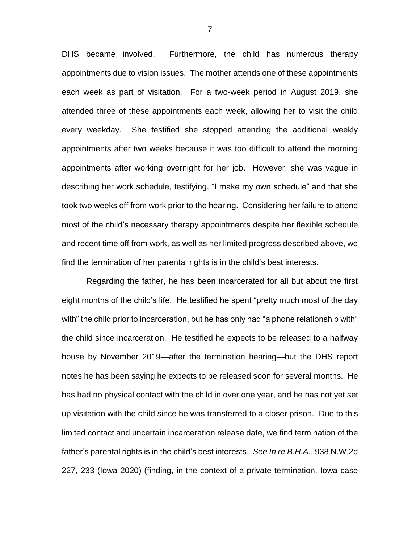DHS became involved. Furthermore, the child has numerous therapy appointments due to vision issues. The mother attends one of these appointments each week as part of visitation. For a two-week period in August 2019, she attended three of these appointments each week, allowing her to visit the child every weekday. She testified she stopped attending the additional weekly appointments after two weeks because it was too difficult to attend the morning appointments after working overnight for her job. However, she was vague in describing her work schedule, testifying, "I make my own schedule" and that she took two weeks off from work prior to the hearing. Considering her failure to attend most of the child's necessary therapy appointments despite her flexible schedule and recent time off from work, as well as her limited progress described above, we find the termination of her parental rights is in the child's best interests.

Regarding the father, he has been incarcerated for all but about the first eight months of the child's life. He testified he spent "pretty much most of the day with" the child prior to incarceration, but he has only had "a phone relationship with" the child since incarceration. He testified he expects to be released to a halfway house by November 2019—after the termination hearing—but the DHS report notes he has been saying he expects to be released soon for several months. He has had no physical contact with the child in over one year, and he has not yet set up visitation with the child since he was transferred to a closer prison. Due to this limited contact and uncertain incarceration release date, we find termination of the father's parental rights is in the child's best interests. *See In re B.H.A.*, 938 N.W.2d 227, 233 (Iowa 2020) (finding, in the context of a private termination, Iowa case

7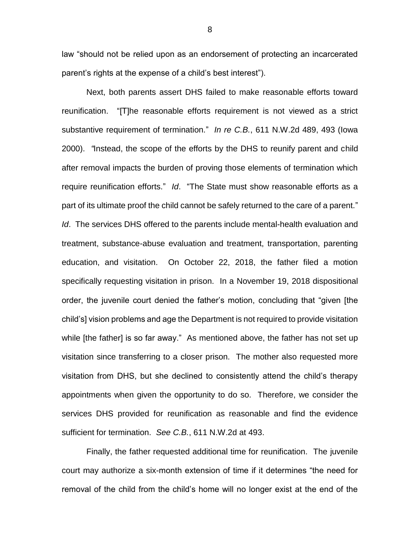law "should not be relied upon as an endorsement of protecting an incarcerated parent's rights at the expense of a child's best interest").

Next, both parents assert DHS failed to make reasonable efforts toward reunification. "[T]he reasonable efforts requirement is not viewed as a strict substantive requirement of termination." *In re C.B.*, 611 N.W.2d 489, 493 (Iowa 2000). *"*Instead, the scope of the efforts by the DHS to reunify parent and child after removal impacts the burden of proving those elements of termination which require reunification efforts." *Id*. "The State must show reasonable efforts as a part of its ultimate proof the child cannot be safely returned to the care of a parent." *Id*. The services DHS offered to the parents include mental-health evaluation and treatment, substance-abuse evaluation and treatment, transportation, parenting education, and visitation. On October 22, 2018, the father filed a motion specifically requesting visitation in prison. In a November 19, 2018 dispositional order, the juvenile court denied the father's motion, concluding that "given [the child's] vision problems and age the Department is not required to provide visitation while [the father] is so far away." As mentioned above, the father has not set up visitation since transferring to a closer prison. The mother also requested more visitation from DHS, but she declined to consistently attend the child's therapy appointments when given the opportunity to do so. Therefore, we consider the services DHS provided for reunification as reasonable and find the evidence sufficient for termination. *See C.B.*, 611 N.W.2d at 493.

Finally, the father requested additional time for reunification. The juvenile court may authorize a six-month extension of time if it determines "the need for removal of the child from the child's home will no longer exist at the end of the

8